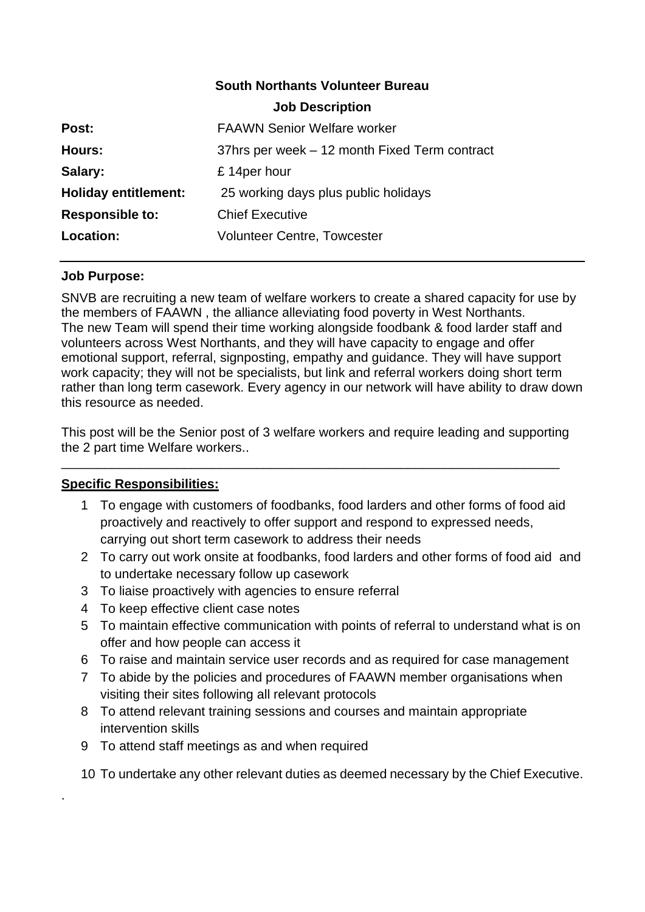#### **South Northants Volunteer Bureau**

|                             | <b>Job Description</b>                        |
|-----------------------------|-----------------------------------------------|
| Post:                       | <b>FAAWN Senior Welfare worker</b>            |
| Hours:                      | 37hrs per week – 12 month Fixed Term contract |
| Salary:                     | £14per hour                                   |
| <b>Holiday entitlement:</b> | 25 working days plus public holidays          |
| <b>Responsible to:</b>      | <b>Chief Executive</b>                        |
| Location:                   | <b>Volunteer Centre, Towcester</b>            |
|                             |                                               |

### **Job Purpose:**

SNVB are recruiting a new team of welfare workers to create a shared capacity for use by the members of FAAWN , the alliance alleviating food poverty in West Northants. The new Team will spend their time working alongside foodbank & food larder staff and volunteers across West Northants, and they will have capacity to engage and offer emotional support, referral, signposting, empathy and guidance. They will have support work capacity; they will not be specialists, but link and referral workers doing short term rather than long term casework. Every agency in our network will have ability to draw down this resource as needed.

This post will be the Senior post of 3 welfare workers and require leading and supporting the 2 part time Welfare workers..

\_\_\_\_\_\_\_\_\_\_\_\_\_\_\_\_\_\_\_\_\_\_\_\_\_\_\_\_\_\_\_\_\_\_\_\_\_\_\_\_\_\_\_\_\_\_\_\_\_\_\_\_\_\_\_\_\_\_\_\_\_\_\_\_\_\_\_\_\_

# **Specific Responsibilities:**

.

- 1 To engage with customers of foodbanks, food larders and other forms of food aid proactively and reactively to offer support and respond to expressed needs, carrying out short term casework to address their needs
- 2 To carry out work onsite at foodbanks, food larders and other forms of food aid and to undertake necessary follow up casework
- 3 To liaise proactively with agencies to ensure referral
- 4 To keep effective client case notes
- 5 To maintain effective communication with points of referral to understand what is on offer and how people can access it
- 6 To raise and maintain service user records and as required for case management
- 7 To abide by the policies and procedures of FAAWN member organisations when visiting their sites following all relevant protocols
- 8 To attend relevant training sessions and courses and maintain appropriate intervention skills
- 9 To attend staff meetings as and when required
- 10 To undertake any other relevant duties as deemed necessary by the Chief Executive.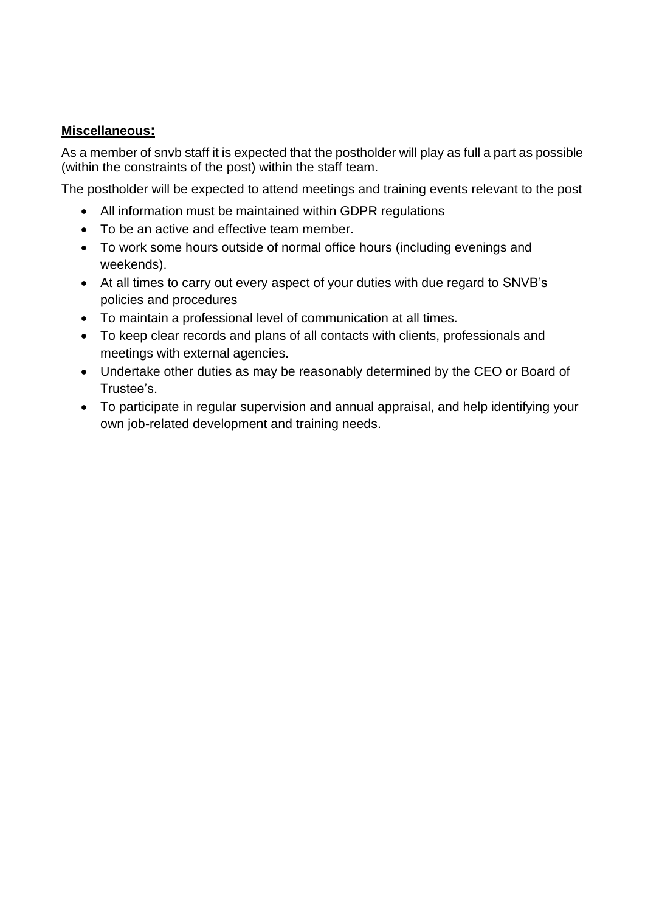### **Miscellaneous:**

As a member of snvb staff it is expected that the postholder will play as full a part as possible (within the constraints of the post) within the staff team.

The postholder will be expected to attend meetings and training events relevant to the post

- All information must be maintained within GDPR regulations
- To be an active and effective team member.
- To work some hours outside of normal office hours (including evenings and weekends).
- At all times to carry out every aspect of your duties with due regard to SNVB's policies and procedures
- To maintain a professional level of communication at all times.
- To keep clear records and plans of all contacts with clients, professionals and meetings with external agencies.
- Undertake other duties as may be reasonably determined by the CEO or Board of Trustee's.
- To participate in regular supervision and annual appraisal, and help identifying your own job-related development and training needs.